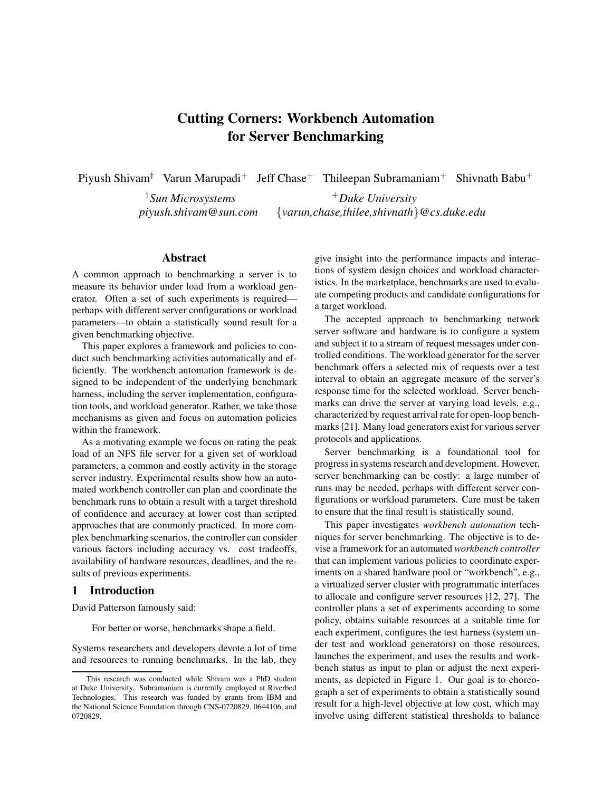# **Cutting Corners: Workbench Automation for Server Benchmarking**

Piyush Shivam<sup>†</sup> Varun Marupadi<sup>+</sup> Jeff Chase<sup>+</sup> Thileepan Subramaniam<sup>+</sup> Shivnath Babu<sup>+</sup>

†*Sun Microsystems piyush.shivam@sun.com* <sup>+</sup>*Duke University* {*varun,chase,thilee,shivnath*}*@cs.duke.edu*

# **Abstract**

A common approach to benchmarking a server is to measure its behavior under load from a workload generator. Often a set of such experiments is required perhaps with different server configurations or workload parameters—to obtain a statistically sound result for a given benchmarking objective.

This paper explores a framework and policies to conduct such benchmarking activities automatically and efficiently. The workbench automation framework is designed to be independent of the underlying benchmark harness, including the server implementation, configuration tools, and workload generator. Rather, we take those mechanisms as given and focus on automation policies within the framework.

As a motivating example we focus on rating the peak load of an NFS file server for a given set of workload parameters, a common and costly activity in the storage server industry. Experimental results show how an automated workbench controller can plan and coordinate the benchmark runs to obtain a result with a target threshold of confidence and accuracy at lower cost than scripted approaches that are commonly practiced. In more complex benchmarking scenarios, the controller can consider various factors including accuracy vs. cost tradeoffs, availability of hardware resources, deadlines, and the results of previous experiments.

# **1 Introduction**

David Patterson famously said:

For better or worse, benchmarks shape a field.

Systems researchers and developers devote a lot of time and resources to running benchmarks. In the lab, they give insight into the performance impacts and interactions of system design choices and workload characteristics. In the marketplace, benchmarks are used to evaluate competing products and candidate configurations for a target workload.

The accepted approach to benchmarking network server software and hardware is to configure a system and subject it to a stream of request messages under controlled conditions. The workload generator for the server benchmark offers a selected mix of requests over a test interval to obtain an aggregate measure of the server's response time for the selected workload. Server benchmarks can drive the server at varying load levels, e.g., characterized by request arrival rate for open-loop benchmarks [21]. Many load generators exist for various server protocols and applications.

Server benchmarking is a foundational tool for progress in systems research and development. However, server benchmarking can be costly: a large number of runs may be needed, perhaps with different server configurations or workload parameters. Care must be taken to ensure that the final result is statistically sound.

This paper investigates *workbench automation* techniques for server benchmarking. The objective is to devise a framework for an automated *workbench controller* that can implement various policies to coordinate experiments on a shared hardware pool or "workbench", e.g., a virtualized server cluster with programmatic interfaces to allocate and configure server resources [12, 27]. The controller plans a set of experiments according to some policy, obtains suitable resources at a suitable time for each experiment, configures the test harness (system under test and workload generators) on those resources, launches the experiment, and uses the results and workbench status as input to plan or adjust the next experiments, as depicted in Figure 1. Our goal is to choreograph a set of experiments to obtain a statistically sound result for a high-level objective at low cost, which may involve using different statistical thresholds to balance

This research was conducted while Shivam was a PhD student at Duke University. Subramaniam is currently employed at Riverbed Technologies. This research was funded by grants from IBM and the National Science Foundation through CNS-0720829, 0644106, and 0720829.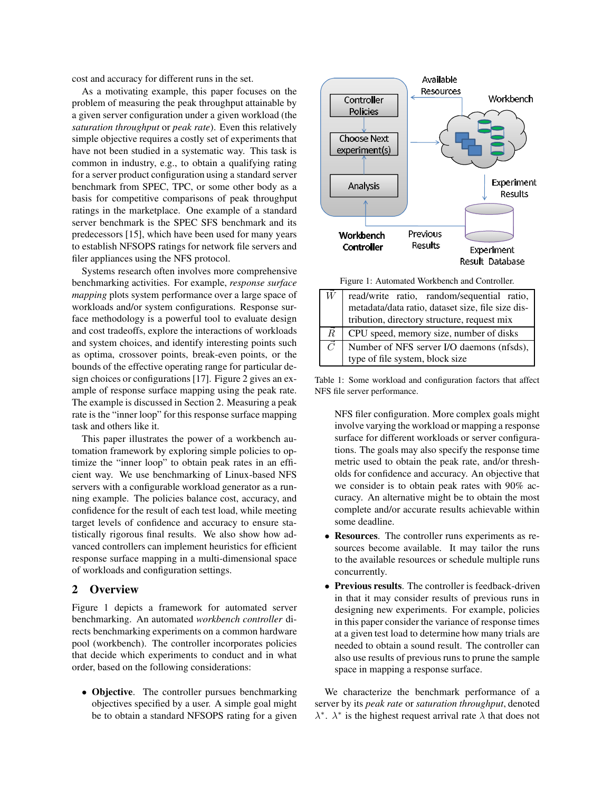cost and accuracy for different runs in the set.

As a motivating example, this paper focuses on the problem of measuring the peak throughput attainable by a given server configuration under a given workload (the *saturation throughput* or *peak rate*). Even this relatively simple objective requires a costly set of experiments that have not been studied in a systematic way. This task is common in industry, e.g., to obtain a qualifying rating for a server product configuration using a standard server benchmark from SPEC, TPC, or some other body as a basis for competitive comparisons of peak throughput ratings in the marketplace. One example of a standard server benchmark is the SPEC SFS benchmark and its predecessors [15], which have been used for many years to establish NFSOPS ratings for network file servers and filer appliances using the NFS protocol.

Systems research often involves more comprehensive benchmarking activities. For example, *response surface mapping* plots system performance over a large space of workloads and/or system configurations. Response surface methodology is a powerful tool to evaluate design and cost tradeoffs, explore the interactions of workloads and system choices, and identify interesting points such as optima, crossover points, break-even points, or the bounds of the effective operating range for particular design choices or configurations [17]. Figure 2 gives an example of response surface mapping using the peak rate. The example is discussed in Section 2. Measuring a peak rate is the "inner loop" for this response surface mapping task and others like it.

This paper illustrates the power of a workbench automation framework by exploring simple policies to optimize the "inner loop" to obtain peak rates in an efficient way. We use benchmarking of Linux-based NFS servers with a configurable workload generator as a running example. The policies balance cost, accuracy, and confidence for the result of each test load, while meeting target levels of confidence and accuracy to ensure statistically rigorous final results. We also show how advanced controllers can implement heuristics for efficient response surface mapping in a multi-dimensional space of workloads and configuration settings.

## **2 Overview**

Figure 1 depicts a framework for automated server benchmarking. An automated *workbench controller* directs benchmarking experiments on a common hardware pool (workbench). The controller incorporates policies that decide which experiments to conduct and in what order, based on the following considerations:

• **Objective**. The controller pursues benchmarking objectives specified by a user. A simple goal might be to obtain a standard NFSOPS rating for a given



Figure 1: Automated Workbench and Controller.

|             | read/write ratio, random/sequential ratio,        |  |  |  |  |
|-------------|---------------------------------------------------|--|--|--|--|
|             | metadata/data ratio, dataset size, file size dis- |  |  |  |  |
|             | tribution, directory structure, request mix       |  |  |  |  |
| $R_{\cdot}$ | CPU speed, memory size, number of disks           |  |  |  |  |
| $\vec{C}$   | Number of NFS server I/O daemons (nfsds),         |  |  |  |  |
|             | type of file system, block size                   |  |  |  |  |

Table 1: Some workload and configuration factors that affect NFS file server performance.

NFS filer configuration. More complex goals might involve varying the workload or mapping a response surface for different workloads or server configurations. The goals may also specify the response time metric used to obtain the peak rate, and/or thresholds for confidence and accuracy. An objective that we consider is to obtain peak rates with 90% accuracy. An alternative might be to obtain the most complete and/or accurate results achievable within some deadline.

- **Resources**. The controller runs experiments as resources become available. It may tailor the runs to the available resources or schedule multiple runs concurrently.
- **Previous results**. The controller is feedback-driven in that it may consider results of previous runs in designing new experiments. For example, policies in this paper consider the variance of response times at a given test load to determine how many trials are needed to obtain a sound result. The controller can also use results of previous runs to prune the sample space in mapping a response surface.

We characterize the benchmark performance of a server by its *peak rate* or *saturation throughput*, denoted  $\lambda^*$ .  $\lambda^*$  is the highest request arrival rate  $\lambda$  that does not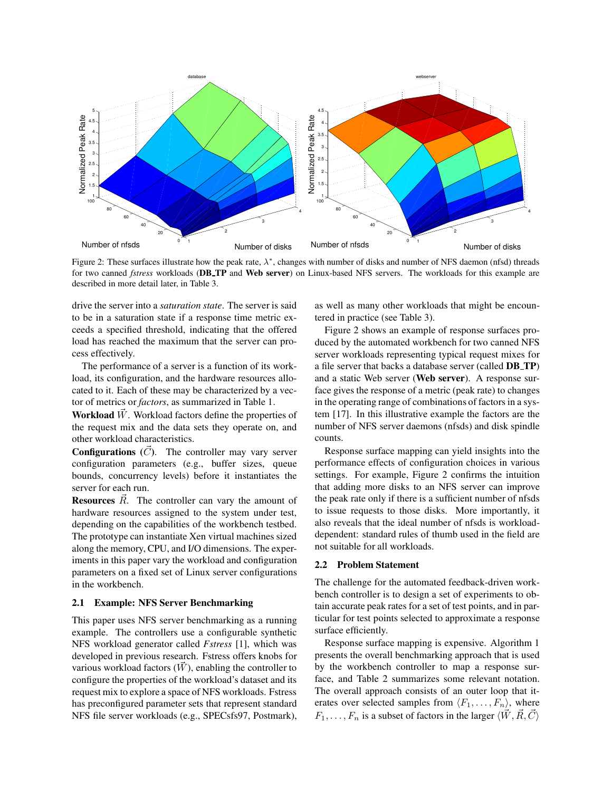

Figure 2: These surfaces illustrate how the peak rate,  $\lambda^*$ , changes with number of disks and number of NFS daemon (nfsd) threads for two canned *fstress* workloads (**DB TP** and **Web server**) on Linux-based NFS servers. The workloads for this example are described in more detail later, in Table 3.

drive the server into a *saturation state*. The server is said to be in a saturation state if a response time metric exceeds a specified threshold, indicating that the offered load has reached the maximum that the server can process effectively.

The performance of a server is a function of its workload, its configuration, and the hardware resources allocated to it. Each of these may be characterized by a vector of metrics or *factors*, as summarized in Table 1.

**Workload**  $\tilde{W}$ . Workload factors define the properties of the request mix and the data sets they operate on, and other workload characteristics.

**Configurations**  $(\vec{C})$ . The controller may vary server configuration parameters (e.g., buffer sizes, queue bounds, concurrency levels) before it instantiates the server for each run.

**Resources**  $\vec{R}$ . The controller can vary the amount of hardware resources assigned to the system under test, depending on the capabilities of the workbench testbed. The prototype can instantiate Xen virtual machines sized along the memory, CPU, and I/O dimensions. The experiments in this paper vary the workload and configuration parameters on a fixed set of Linux server configurations in the workbench.

## **2.1 Example: NFS Server Benchmarking**

This paper uses NFS server benchmarking as a running example. The controllers use a configurable synthetic NFS workload generator called *Fstress* [1], which was developed in previous research. Fstress offers knobs for various workload factors  $(\vec{W})$ , enabling the controller to configure the properties of the workload's dataset and its request mix to explore a space of NFS workloads. Fstress has preconfigured parameter sets that represent standard NFS file server workloads (e.g., SPECsfs97, Postmark), as well as many other workloads that might be encountered in practice (see Table 3).

Figure 2 shows an example of response surfaces produced by the automated workbench for two canned NFS server workloads representing typical request mixes for a file server that backs a database server (called **DB TP**) and a static Web server (**Web server**). A response surface gives the response of a metric (peak rate) to changes in the operating range of combinations of factors in a system [17]. In this illustrative example the factors are the number of NFS server daemons (nfsds) and disk spindle counts.

Response surface mapping can yield insights into the performance effects of configuration choices in various settings. For example, Figure 2 confirms the intuition that adding more disks to an NFS server can improve the peak rate only if there is a sufficient number of nfsds to issue requests to those disks. More importantly, it also reveals that the ideal number of nfsds is workloaddependent: standard rules of thumb used in the field are not suitable for all workloads.

#### **2.2 Problem Statement**

The challenge for the automated feedback-driven workbench controller is to design a set of experiments to obtain accurate peak rates for a set of test points, and in particular for test points selected to approximate a response surface efficiently.

Response surface mapping is expensive. Algorithm 1 presents the overall benchmarking approach that is used by the workbench controller to map a response surface, and Table 2 summarizes some relevant notation. The overall approach consists of an outer loop that iterates over selected samples from  $\langle F_1, \ldots, F_n \rangle$ , where  $F_1, \ldots, F_n$  is a subset of factors in the larger  $\langle \vec{W}, \vec{R}, \vec{C} \rangle$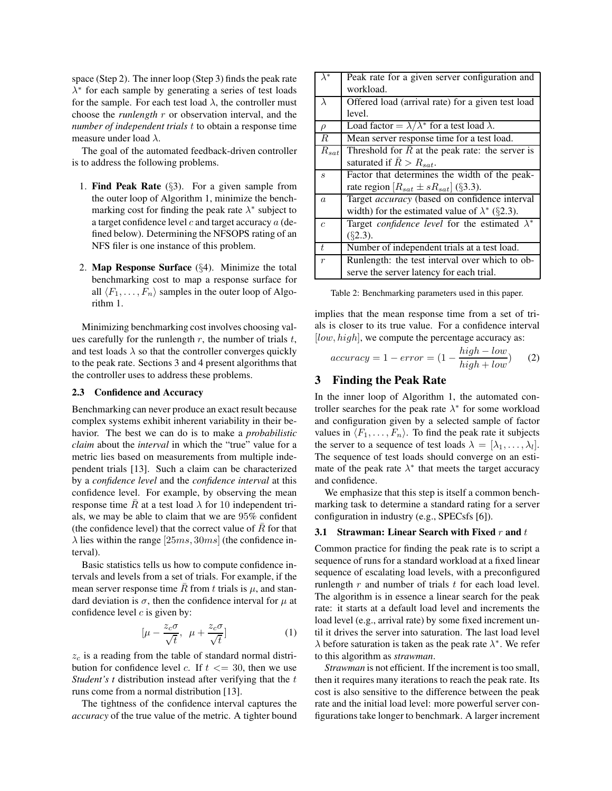space (Step 2). The inner loop (Step 3) finds the peak rate  $\lambda^*$  for each sample by generating a series of test loads for the sample. For each test load  $\lambda$ , the controller must choose the *runlength* r or observation interval, and the *number of independent trials* t to obtain a response time measure under load  $\lambda$ .

The goal of the automated feedback-driven controller is to address the following problems.

- 1. **Find Peak Rate** (§3). For a given sample from the outer loop of Algorithm 1, minimize the benchmarking cost for finding the peak rate  $\lambda^*$  subject to a target confidence level  $c$  and target accuracy  $a$  (defined below). Determining the NFSOPS rating of an NFS filer is one instance of this problem.
- 2. **Map Response Surface** (§4). Minimize the total benchmarking cost to map a response surface for all  $\langle F_1, \ldots, F_n \rangle$  samples in the outer loop of Algorithm 1.

Minimizing benchmarking cost involves choosing values carefully for the runlength  $r$ , the number of trials  $t$ , and test loads  $\lambda$  so that the controller converges quickly to the peak rate. Sections 3 and 4 present algorithms that the controller uses to address these problems.

#### **2.3 Confidence and Accuracy**

Benchmarking can never produce an exact result because complex systems exhibit inherent variability in their behavior. The best we can do is to make a *probabilistic claim* about the *interval* in which the "true" value for a metric lies based on measurements from multiple independent trials [13]. Such a claim can be characterized by a *confidence level* and the *confidence interval* at this confidence level. For example, by observing the mean response time  $\overline{R}$  at a test load  $\lambda$  for 10 independent trials, we may be able to claim that we are 95% confident (the confidence level) that the correct value of  $\bar{R}$  for that  $\lambda$  lies within the range [25 $ms$ , 30 $ms$ ] (the confidence interval).

Basic statistics tells us how to compute confidence intervals and levels from a set of trials. For example, if the mean server response time  $\bar{R}$  from t trials is  $\mu$ , and standard deviation is  $\sigma$ , then the confidence interval for  $\mu$  at confidence level  $c$  is given by:

$$
\left[\mu - \frac{z_c \sigma}{\sqrt{t}}, \ \mu + \frac{z_c \sigma}{\sqrt{t}}\right] \tag{1}
$$

 $z_c$  is a reading from the table of standard normal distribution for confidence level c. If  $t \leq 30$ , then we use *Student's t* distribution instead after verifying that the t runs come from a normal distribution [13].

The tightness of the confidence interval captures the *accuracy* of the true value of the metric. A tighter bound

| $\lambda^*$                 | Peak rate for a given server configuration and                |  |  |
|-----------------------------|---------------------------------------------------------------|--|--|
|                             | workload.                                                     |  |  |
| $\lambda$                   | Offered load (arrival rate) for a given test load             |  |  |
|                             | level.                                                        |  |  |
| $\rho$                      | Load factor = $\lambda/\lambda^*$ for a test load $\lambda$ . |  |  |
| $\boldsymbol{R}$            | Mean server response time for a test load.                    |  |  |
| $R_{sat}$                   | Threshold for $R$ at the peak rate: the server is             |  |  |
|                             | saturated if $\bar{R} > R_{sat}$ .                            |  |  |
| $\mathcal{S}_{\mathcal{S}}$ | Factor that determines the width of the peak-                 |  |  |
|                             | rate region $[R_{sat} \pm sR_{sat}]$ (§3.3).                  |  |  |
| $\boldsymbol{a}$            | Target <i>accuracy</i> (based on confidence interval          |  |  |
|                             | width) for the estimated value of $\lambda^*$ (§2.3).         |  |  |
| $\overline{c}$              | Target confidence level for the estimated $\lambda^*$         |  |  |
|                             | $(\S$ 2.3).                                                   |  |  |
| $\overline{t}$              | Number of independent trials at a test load.                  |  |  |
| $\boldsymbol{r}$            | Runlength: the test interval over which to ob-                |  |  |
|                             | serve the server latency for each trial.                      |  |  |

Table 2: Benchmarking parameters used in this paper.

implies that the mean response time from a set of trials is closer to its true value. For a confidence interval  $[low, high]$ , we compute the percentage accuracy as:

$$
accuracy = 1 - error = (1 - \frac{high - low}{high + low})
$$
 (2)

# **3 Finding the Peak Rate**

In the inner loop of Algorithm 1, the automated controller searches for the peak rate  $\lambda^*$  for some workload and configuration given by a selected sample of factor values in  $\langle F_1, \ldots, F_n \rangle$ . To find the peak rate it subjects the server to a sequence of test loads  $\lambda = [\lambda_1, \dots, \lambda_l].$ The sequence of test loads should converge on an estimate of the peak rate  $\lambda^*$  that meets the target accuracy and confidence.

We emphasize that this step is itself a common benchmarking task to determine a standard rating for a server configuration in industry (e.g., SPECsfs [6]).

#### **3.1 Strawman: Linear Search with Fixed** r and t

Common practice for finding the peak rate is to script a sequence of runs for a standard workload at a fixed linear sequence of escalating load levels, with a preconfigured runlength  $r$  and number of trials  $t$  for each load level. The algorithm is in essence a linear search for the peak rate: it starts at a default load level and increments the load level (e.g., arrival rate) by some fixed increment until it drives the server into saturation. The last load level  $\lambda$  before saturation is taken as the peak rate  $\lambda^*$ . We refer to this algorithm as *strawman*.

*Strawman* is not efficient. If the increment is too small, then it requires many iterations to reach the peak rate. Its cost is also sensitive to the difference between the peak rate and the initial load level: more powerful server configurations take longer to benchmark. A larger increment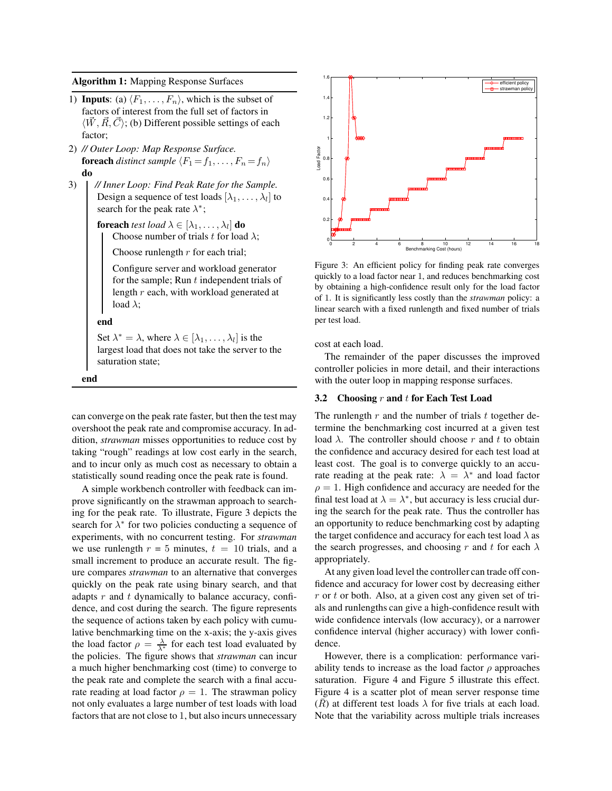**Algorithm 1:** Mapping Response Surfaces

- 1) **Inputs**: (a)  $\langle F_1, \ldots, F_n \rangle$ , which is the subset of factors of interest from the full set of factors in  $\langle W, R, C \rangle$ ; (b) Different possible settings of each factor;
- 2) *// Outer Loop: Map Response Surface.* **foreach** *distinct sample*  $\langle F_1 = f_1, \ldots, F_n = f_n \rangle$ **do**
- 3) *// Inner Loop: Find Peak Rate for the Sample.* Design a sequence of test loads  $[\lambda_1,\ldots,\lambda_l]$  to search for the peak rate  $\lambda^*$ ;

**foreach** *test load*  $\lambda \in [\lambda_1, \dots, \lambda_l]$  **do** Choose number of trials t for load  $\lambda$ ;

Choose runlength  $r$  for each trial;

Configure server and workload generator for the sample; Run  $t$  independent trials of length r each, with workload generated at load  $\lambda$ ;

**end**

Set  $\lambda^* = \lambda$ , where  $\lambda \in [\lambda_1, \dots, \lambda_l]$  is the largest load that does not take the server to the saturation state;

**end**

can converge on the peak rate faster, but then the test may overshoot the peak rate and compromise accuracy. In addition, *strawman* misses opportunities to reduce cost by taking "rough" readings at low cost early in the search, and to incur only as much cost as necessary to obtain a statistically sound reading once the peak rate is found.

A simple workbench controller with feedback can improve significantly on the strawman approach to searching for the peak rate. To illustrate, Figure 3 depicts the search for  $\lambda^*$  for two policies conducting a sequence of experiments, with no concurrent testing. For *strawman* we use runlength  $r = 5$  minutes,  $t = 10$  trials, and a small increment to produce an accurate result. The figure compares *strawman* to an alternative that converges quickly on the peak rate using binary search, and that adapts  $r$  and  $t$  dynamically to balance accuracy, confidence, and cost during the search. The figure represents the sequence of actions taken by each policy with cumulative benchmarking time on the x-axis; the y-axis gives the load factor  $\rho = \frac{\lambda}{\lambda^*}$  for each test load evaluated by the policies. The figure shows that *strawman* can incur a much higher benchmarking cost (time) to converge to the peak rate and complete the search with a final accurate reading at load factor  $\rho = 1$ . The strawman policy not only evaluates a large number of test loads with load factors that are not close to 1, but also incurs unnecessary



Figure 3: An efficient policy for finding peak rate converges quickly to a load factor near 1, and reduces benchmarking cost by obtaining a high-confidence result only for the load factor of 1. It is significantly less costly than the *strawman* policy: a linear search with a fixed runlength and fixed number of trials per test load.

cost at each load.

The remainder of the paper discusses the improved controller policies in more detail, and their interactions with the outer loop in mapping response surfaces.

## **3.2 Choosing** r **and** t **for Each Test Load**

The runlength  $r$  and the number of trials  $t$  together determine the benchmarking cost incurred at a given test load  $\lambda$ . The controller should choose r and t to obtain the confidence and accuracy desired for each test load at least cost. The goal is to converge quickly to an accurate reading at the peak rate:  $\lambda = \lambda^*$  and load factor  $\rho = 1$ . High confidence and accuracy are needed for the final test load at  $\lambda = \lambda^*$ , but accuracy is less crucial during the search for the peak rate. Thus the controller has an opportunity to reduce benchmarking cost by adapting the target confidence and accuracy for each test load  $\lambda$  as the search progresses, and choosing r and t for each  $\lambda$ appropriately.

At any given load level the controller can trade off confidence and accuracy for lower cost by decreasing either  $r$  or  $t$  or both. Also, at a given cost any given set of trials and runlengths can give a high-confidence result with wide confidence intervals (low accuracy), or a narrower confidence interval (higher accuracy) with lower confidence.

However, there is a complication: performance variability tends to increase as the load factor  $\rho$  approaches saturation. Figure 4 and Figure 5 illustrate this effect. Figure 4 is a scatter plot of mean server response time (R) at different test loads  $\lambda$  for five trials at each load. Note that the variability across multiple trials increases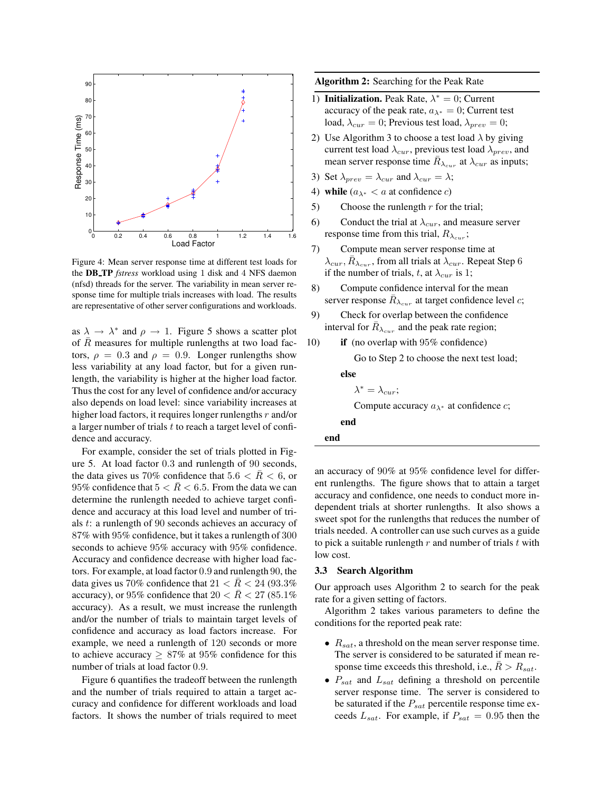

Figure 4: Mean server response time at different test loads for the **DB TP** *fstress* workload using 1 disk and 4 NFS daemon (nfsd) threads for the server. The variability in mean server response time for multiple trials increases with load. The results are representative of other server configurations and workloads.

as  $\lambda \to \lambda^*$  and  $\rho \to 1$ . Figure 5 shows a scatter plot of  $R$  measures for multiple runlengths at two load factors,  $\rho = 0.3$  and  $\rho = 0.9$ . Longer runlengths show less variability at any load factor, but for a given runlength, the variability is higher at the higher load factor. Thus the cost for any level of confidence and/or accuracy also depends on load level: since variability increases at higher load factors, it requires longer runlengths  $r$  and/or a larger number of trials  $t$  to reach a target level of confidence and accuracy.

For example, consider the set of trials plotted in Figure 5. At load factor 0.3 and runlength of 90 seconds, the data gives us 70% confidence that  $5.6 < \bar{R} < 6$ , or 95% confidence that  $5 < \bar{R} < 6.5$ . From the data we can determine the runlength needed to achieve target confidence and accuracy at this load level and number of trials t: a runlength of 90 seconds achieves an accuracy of 87% with 95% confidence, but it takes a runlength of 300 seconds to achieve 95% accuracy with 95% confidence. Accuracy and confidence decrease with higher load factors. For example, at load factor 0.9 and runlength 90, the data gives us 70% confidence that  $21 < R < 24$  (93.3%) accuracy), or 95% confidence that  $20 < \overline{R} < 27$  (85.1%) accuracy). As a result, we must increase the runlength and/or the number of trials to maintain target levels of confidence and accuracy as load factors increase. For example, we need a runlength of 120 seconds or more to achieve accuracy  $\geq 87\%$  at 95% confidence for this number of trials at load factor 0.9.

Figure 6 quantifies the tradeoff between the runlength and the number of trials required to attain a target accuracy and confidence for different workloads and load factors. It shows the number of trials required to meet **Algorithm 2:** Searching for the Peak Rate

- 1) **Initialization.** Peak Rate,  $\lambda^* = 0$ ; Current accuracy of the peak rate,  $a_{\lambda^*} = 0$ ; Current test load,  $\lambda_{cur} = 0$ ; Previous test load,  $\lambda_{prev} = 0$ ;
- 2) Use Algorithm 3 to choose a test load  $\lambda$  by giving current test load  $\lambda_{cur}$ , previous test load  $\lambda_{prev}$ , and mean server response time  $\bar{R}_{\lambda_{cur}}$  at  $\lambda_{cur}$  as inputs;
- 3) Set  $\lambda_{prev} = \lambda_{cur}$  and  $\lambda_{cur} = \lambda$ ;
- 4) **while**  $(a_{\lambda^*} < a \text{ at confidence } c)$
- 5) Choose the runlength  $r$  for the trial;
- 6) Conduct the trial at  $\lambda_{cur}$ , and measure server response time from this trial,  $R_{\lambda_{cur}}$ ;
- 7) Compute mean server response time at  $\lambda_{cur}$ ,  $\overline{R}_{\lambda_{cur}}$ , from all trials at  $\overline{\lambda_{cur}}$ . Repeat Step 6 if the number of trials, t, at  $\lambda_{cur}$  is 1;
- 8) Compute confidence interval for the mean server response  $\bar{R}_{\lambda_{cur}}$  at target confidence level c;
- 9) Check for overlap between the confidence interval for  $\bar{R}_{\lambda_{cur}}$  and the peak rate region;
- 10) **if** (no overlap with 95% confidence)

Go to Step 2 to choose the next test load;

**else**

$$
\lambda^*=\lambda_{cur};
$$

Compute accuracy  $a_{\lambda^*}$  at confidence *c*;

**end**

| end |
|-----|
|-----|

an accuracy of 90% at 95% confidence level for different runlengths. The figure shows that to attain a target accuracy and confidence, one needs to conduct more independent trials at shorter runlengths. It also shows a sweet spot for the runlengths that reduces the number of trials needed. A controller can use such curves as a guide to pick a suitable runlength  $r$  and number of trials  $t$  with low cost.

#### **3.3 Search Algorithm**

Our approach uses Algorithm 2 to search for the peak rate for a given setting of factors.

Algorithm 2 takes various parameters to define the conditions for the reported peak rate:

- $R_{sat}$ , a threshold on the mean server response time. The server is considered to be saturated if mean response time exceeds this threshold, i.e.,  $\bar{R} > R_{sat}$ .
- $P_{sat}$  and  $L_{sat}$  defining a threshold on percentile server response time. The server is considered to be saturated if the  $P_{sat}$  percentile response time exceeds  $L_{sat}$ . For example, if  $P_{sat} = 0.95$  then the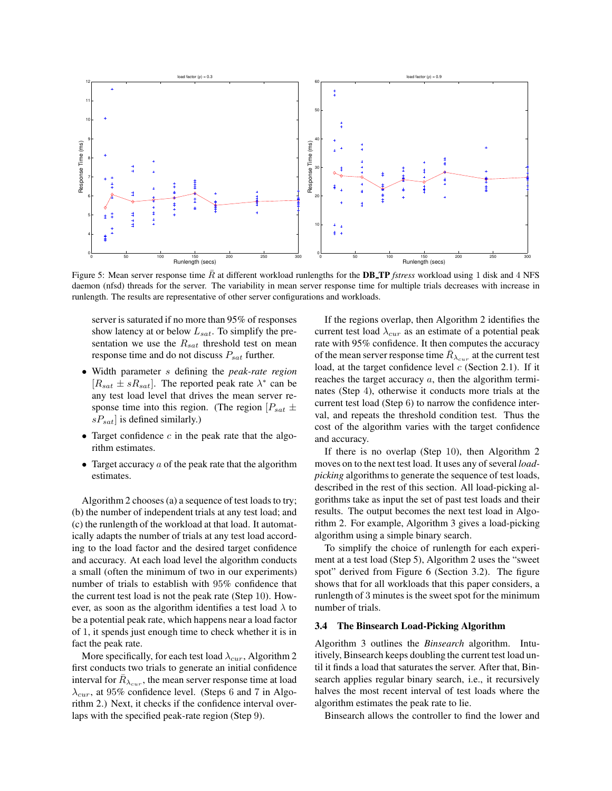

Figure 5: Mean server response time  $\bar{R}$  at different workload runlengths for the **DB\_TP** *fstress* workload using 1 disk and 4 NFS daemon (nfsd) threads for the server. The variability in mean server response time for multiple trials decreases with increase in runlength. The results are representative of other server configurations and workloads.

server is saturated if no more than 95% of responses show latency at or below  $L_{sat}$ . To simplify the presentation we use the  $R_{sat}$  threshold test on mean response time and do not discuss  $P_{sat}$  further.

- Width parameter s defining the *peak-rate region*  $[R_{sat} \pm sR_{sat}]$ . The reported peak rate  $\lambda^*$  can be any test load level that drives the mean server response time into this region. (The region  $[P_{sat} \pm$  $sP_{sat}$ ] is defined similarly.)
- Target confidence  $c$  in the peak rate that the algorithm estimates.
- Target accuracy  $a$  of the peak rate that the algorithm estimates.

Algorithm 2 chooses (a) a sequence of test loads to try; (b) the number of independent trials at any test load; and (c) the runlength of the workload at that load. It automatically adapts the number of trials at any test load according to the load factor and the desired target confidence and accuracy. At each load level the algorithm conducts a small (often the minimum of two in our experiments) number of trials to establish with 95% confidence that the current test load is not the peak rate (Step 10). However, as soon as the algorithm identifies a test load  $\lambda$  to be a potential peak rate, which happens near a load factor of 1, it spends just enough time to check whether it is in fact the peak rate.

More specifically, for each test load  $\lambda_{cur}$ , Algorithm 2 first conducts two trials to generate an initial confidence interval for  $\bar{R}_{\lambda_{cur}}$ , the mean server response time at load  $\lambda_{cur}$ , at 95% confidence level. (Steps 6 and 7 in Algorithm 2.) Next, it checks if the confidence interval overlaps with the specified peak-rate region (Step 9).

If the regions overlap, then Algorithm 2 identifies the current test load  $\lambda_{cur}$  as an estimate of a potential peak rate with 95% confidence. It then computes the accuracy of the mean server response time  $\bar{R}_{\lambda_{cur}}$  at the current test load, at the target confidence level  $c$  (Section 2.1). If it reaches the target accuracy  $a$ , then the algorithm terminates (Step 4), otherwise it conducts more trials at the current test load (Step 6) to narrow the confidence interval, and repeats the threshold condition test. Thus the cost of the algorithm varies with the target confidence and accuracy.

If there is no overlap (Step 10), then Algorithm 2 moves on to the next test load. It uses any of several *loadpicking* algorithms to generate the sequence of test loads, described in the rest of this section. All load-picking algorithms take as input the set of past test loads and their results. The output becomes the next test load in Algorithm 2. For example, Algorithm 3 gives a load-picking algorithm using a simple binary search.

To simplify the choice of runlength for each experiment at a test load (Step 5), Algorithm 2 uses the "sweet spot" derived from Figure 6 (Section 3.2). The figure shows that for all workloads that this paper considers, a runlength of 3 minutes is the sweet spot for the minimum number of trials.

#### **3.4 The Binsearch Load-Picking Algorithm**

Algorithm 3 outlines the *Binsearch* algorithm. Intuitively, Binsearch keeps doubling the current test load until it finds a load that saturates the server. After that, Binsearch applies regular binary search, i.e., it recursively halves the most recent interval of test loads where the algorithm estimates the peak rate to lie.

Binsearch allows the controller to find the lower and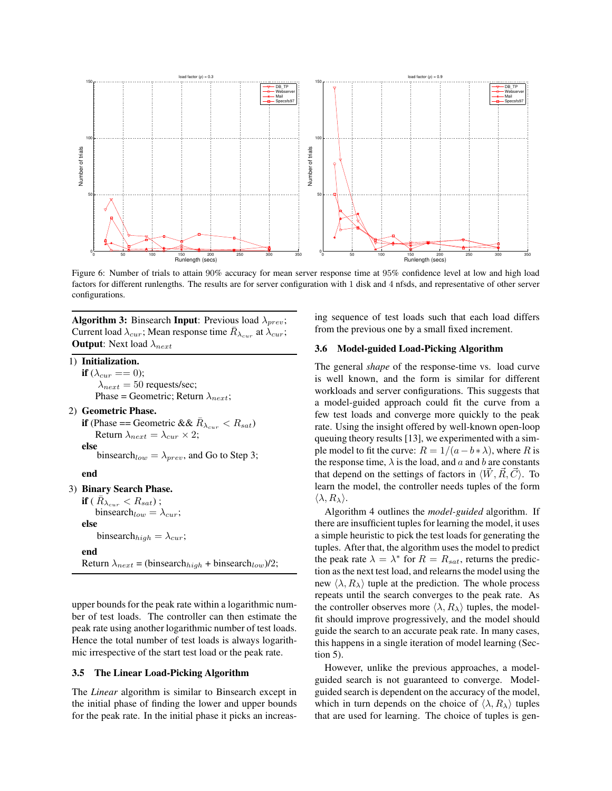

Figure 6: Number of trials to attain 90% accuracy for mean server response time at 95% confidence level at low and high load factors for different runlengths. The results are for server configuration with 1 disk and 4 nfsds, and representative of other server configurations.

**Algorithm 3:** Binsearch **Input**: Previous load  $\lambda_{prev}$ ; Current load  $\lambda_{cur}$ ; Mean response time  $\bar{R}_{\lambda_{cur}}$  at  $\dot{\lambda}_{cur}$ ; **Output**: Next load  $\lambda_{next}$ 

1) **Initialization. if**  $(\lambda_{cur} == 0);$  $\lambda_{next} = 50$  requests/sec; Phase = Geometric; Return  $\lambda_{next}$ ;

2) **Geometric Phase. if** (Phase == Geometric &&  $\bar{R}_{\lambda_{cur}} < R_{sat}$ ) Return  $\lambda_{next} = \lambda_{cur} \times 2$ ; **else** binsearch<sub>low</sub> =  $\lambda_{prev}$ , and Go to Step 3;

#### **end**

#### 3) **Binary Search Phase.**

 $\textbf{if} \; (\; \bar{R}_{\lambda_{cur}} < R_{sat}) \; ;$ binsearch<sub>low</sub> =  $\lambda_{cur}$ ; **else** binsearch<sub>high</sub> =  $\lambda_{cur}$ ; **end** Return  $\lambda_{next} = (\text{binsearch}_{high} + \text{binsearch}_{low})/2;$ 

upper bounds for the peak rate within a logarithmic number of test loads. The controller can then estimate the peak rate using another logarithmic number of test loads. Hence the total number of test loads is always logarithmic irrespective of the start test load or the peak rate.

#### **3.5 The Linear Load-Picking Algorithm**

The *Linear* algorithm is similar to Binsearch except in the initial phase of finding the lower and upper bounds for the peak rate. In the initial phase it picks an increasing sequence of test loads such that each load differs from the previous one by a small fixed increment.

## **3.6 Model-guided Load-Picking Algorithm**

The general *shape* of the response-time vs. load curve is well known, and the form is similar for different workloads and server configurations. This suggests that a model-guided approach could fit the curve from a few test loads and converge more quickly to the peak rate. Using the insight offered by well-known open-loop queuing theory results [13], we experimented with a simple model to fit the curve:  $R = 1/(a - b * \lambda)$ , where R is the response time,  $\lambda$  is the load, and a and b are constants that depend on the settings of factors in  $\langle W, R, C \rangle$ . To learn the model, the controller needs tuples of the form  $\langle \lambda, R_\lambda \rangle$ .

Algorithm 4 outlines the *model-guided* algorithm. If there are insufficient tuples for learning the model, it uses a simple heuristic to pick the test loads for generating the tuples. After that, the algorithm uses the model to predict the peak rate  $\lambda = \lambda^*$  for  $R = R_{sat}$ , returns the prediction as the next test load, and relearns the model using the new  $\langle \lambda, R_{\lambda} \rangle$  tuple at the prediction. The whole process repeats until the search converges to the peak rate. As the controller observes more  $\langle \lambda, R_{\lambda} \rangle$  tuples, the modelfit should improve progressively, and the model should guide the search to an accurate peak rate. In many cases, this happens in a single iteration of model learning (Section 5).

However, unlike the previous approaches, a modelguided search is not guaranteed to converge. Modelguided search is dependent on the accuracy of the model, which in turn depends on the choice of  $\langle \lambda, R_{\lambda} \rangle$  tuples that are used for learning. The choice of tuples is gen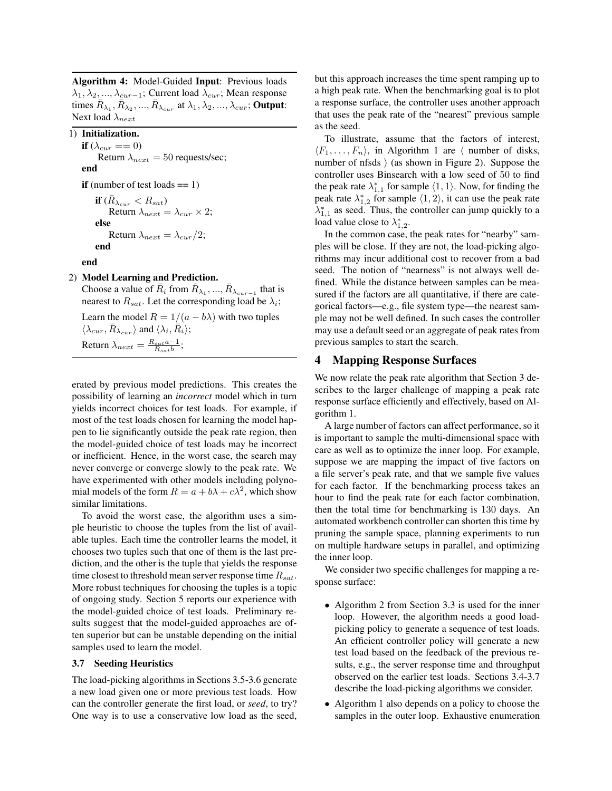**Algorithm 4:** Model-Guided **Input**: Previous loads  $\lambda_1, \lambda_2, ..., \lambda_{cur-1}$ ; Current load  $\lambda_{cur}$ ; Mean response times  $\overline{R}_{\lambda_1}, \overline{R}_{\lambda_2}, ..., \overline{R}_{\lambda_{cur}}$  at  $\lambda_1, \lambda_2, ..., \lambda_{cur}$ ; Output: Next load  $\lambda_{next}$ 

1) **Initialization.**

```
if (\lambda_{cur} == 0)Return \lambda_{next} = 50 requests/sec;
end
if (number of test loads == 1)
```
 $\textbf{if}\ (\bar R_{\lambda_{cur}} < R_{sat})$ Return  $\lambda_{next} = \lambda_{cur} \times 2;$ **else** Return  $\lambda_{next} = \lambda_{cur}/2$ ; **end**

**end**

# 2) **Model Learning and Prediction.**

Choose a value of  $\bar{R}_i$  from  $\bar{R}_{\lambda_1}, ..., \bar{R}_{\lambda_{cur-1}}$  that is nearest to  $R_{sat}$ . Let the corresponding load be  $\lambda_i$ ;

Learn the model  $R = 1/(a - b\lambda)$  with two tuples  $\langle \lambda_{cur}, \bar{R}_{\lambda_{cur}} \rangle$  and  $\langle \lambda_i, \bar{R}_i \rangle$ ; Return  $\lambda_{next} = \frac{R_{sat}a-1}{R_{sat}b}$ ;

erated by previous model predictions. This creates the possibility of learning an *incorrect* model which in turn yields incorrect choices for test loads. For example, if most of the test loads chosen for learning the model happen to lie significantly outside the peak rate region, then the model-guided choice of test loads may be incorrect or inefficient. Hence, in the worst case, the search may never converge or converge slowly to the peak rate. We have experimented with other models including polynomial models of the form  $R = a + b\lambda + c\lambda^2$ , which show similar limitations.

To avoid the worst case, the algorithm uses a simple heuristic to choose the tuples from the list of available tuples. Each time the controller learns the model, it chooses two tuples such that one of them is the last prediction, and the other is the tuple that yields the response time closest to threshold mean server response time  $R_{sat}$ . More robust techniques for choosing the tuples is a topic of ongoing study. Section 5 reports our experience with the model-guided choice of test loads. Preliminary results suggest that the model-guided approaches are often superior but can be unstable depending on the initial samples used to learn the model.

## **3.7 Seeding Heuristics**

The load-picking algorithms in Sections 3.5-3.6 generate a new load given one or more previous test loads. How can the controller generate the first load, or *seed*, to try? One way is to use a conservative low load as the seed, but this approach increases the time spent ramping up to a high peak rate. When the benchmarking goal is to plot a response surface, the controller uses another approach that uses the peak rate of the "nearest" previous sample as the seed.

To illustrate, assume that the factors of interest,  $\langle F_1, \ldots, F_n \rangle$ , in Algorithm 1 are  $\langle$  number of disks, number of nfsds  $\rangle$  (as shown in Figure 2). Suppose the controller uses Binsearch with a low seed of 50 to find the peak rate  $\lambda_{1,1}^*$  for sample  $\langle 1, 1 \rangle$ . Now, for finding the peak rate  $\lambda_{1,2}^*$  for sample  $\langle 1, 2 \rangle$ , it can use the peak rate  $\lambda_{1,1}^*$  as seed. Thus, the controller can jump quickly to a load value close to  $\lambda_{1,2}^*$ .

In the common case, the peak rates for "nearby" samples will be close. If they are not, the load-picking algorithms may incur additional cost to recover from a bad seed. The notion of "nearness" is not always well defined. While the distance between samples can be measured if the factors are all quantitative, if there are categorical factors—e.g., file system type—the nearest sample may not be well defined. In such cases the controller may use a default seed or an aggregate of peak rates from previous samples to start the search.

# **4 Mapping Response Surfaces**

We now relate the peak rate algorithm that Section 3 describes to the larger challenge of mapping a peak rate response surface efficiently and effectively, based on Algorithm 1.

A large number of factors can affect performance, so it is important to sample the multi-dimensional space with care as well as to optimize the inner loop. For example, suppose we are mapping the impact of five factors on a file server's peak rate, and that we sample five values for each factor. If the benchmarking process takes an hour to find the peak rate for each factor combination, then the total time for benchmarking is 130 days. An automated workbench controller can shorten this time by pruning the sample space, planning experiments to run on multiple hardware setups in parallel, and optimizing the inner loop.

We consider two specific challenges for mapping a response surface:

- Algorithm 2 from Section 3.3 is used for the inner loop. However, the algorithm needs a good loadpicking policy to generate a sequence of test loads. An efficient controller policy will generate a new test load based on the feedback of the previous results, e.g., the server response time and throughput observed on the earlier test loads. Sections 3.4-3.7 describe the load-picking algorithms we consider.
- Algorithm 1 also depends on a policy to choose the samples in the outer loop. Exhaustive enumeration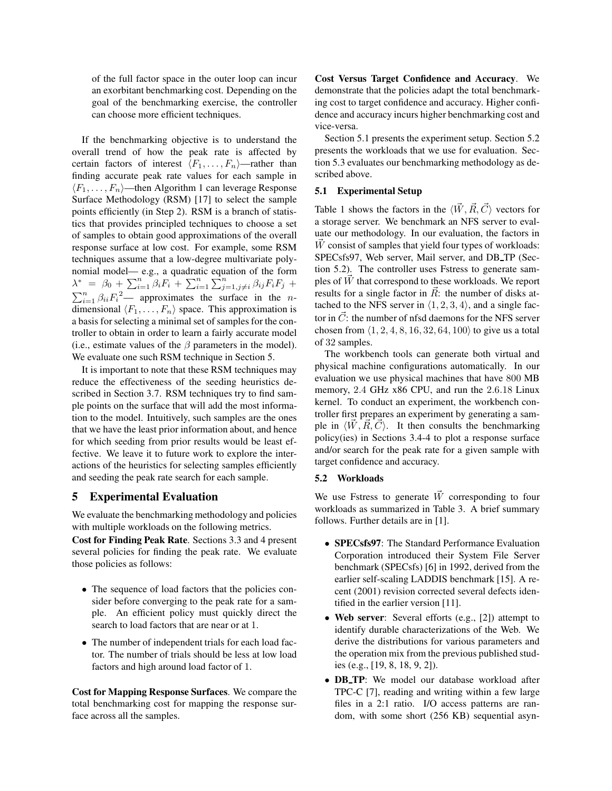of the full factor space in the outer loop can incur an exorbitant benchmarking cost. Depending on the goal of the benchmarking exercise, the controller can choose more efficient techniques.

If the benchmarking objective is to understand the overall trend of how the peak rate is affected by certain factors of interest  $\langle F_1, \ldots, F_n \rangle$ —rather than finding accurate peak rate values for each sample in  $\langle F_1, \ldots, F_n \rangle$ —then Algorithm 1 can leverage Response Surface Methodology (RSM) [17] to select the sample points efficiently (in Step 2). RSM is a branch of statistics that provides principled techniques to choose a set of samples to obtain good approximations of the overall response surface at low cost. For example, some RSM techniques assume that a low-degree multivariate polynomial model— e.g., a quadratic equation of the form  $\lambda^* = \beta_0 + \sum_{i=1}^n \beta_i F_i + \sum_{i=1}^n \sum_{j=1, j\neq i}^n \beta_{ij} F_i F_j +$  $\sum_{i=1}^{n} \beta_{ii} F_i^2$  approximates the surface in the *n*dimensional  $\langle F_1, \ldots, F_n \rangle$  space. This approximation is a basis for selecting a minimal set of samples for the controller to obtain in order to learn a fairly accurate model (i.e., estimate values of the  $\beta$  parameters in the model). We evaluate one such RSM technique in Section 5.

It is important to note that these RSM techniques may reduce the effectiveness of the seeding heuristics described in Section 3.7. RSM techniques try to find sample points on the surface that will add the most information to the model. Intuitively, such samples are the ones that we have the least prior information about, and hence for which seeding from prior results would be least effective. We leave it to future work to explore the interactions of the heuristics for selecting samples efficiently and seeding the peak rate search for each sample.

## **5 Experimental Evaluation**

We evaluate the benchmarking methodology and policies with multiple workloads on the following metrics.

**Cost for Finding Peak Rate**. Sections 3.3 and 4 present several policies for finding the peak rate. We evaluate those policies as follows:

- The sequence of load factors that the policies consider before converging to the peak rate for a sample. An efficient policy must quickly direct the search to load factors that are near or at 1.
- The number of independent trials for each load factor. The number of trials should be less at low load factors and high around load factor of 1.

**Cost for Mapping Response Surfaces**. We compare the total benchmarking cost for mapping the response surface across all the samples.

**Cost Versus Target Confidence and Accuracy**. We demonstrate that the policies adapt the total benchmarking cost to target confidence and accuracy. Higher confidence and accuracy incurs higher benchmarking cost and vice-versa.

Section 5.1 presents the experiment setup. Section 5.2 presents the workloads that we use for evaluation. Section 5.3 evaluates our benchmarking methodology as described above.

## **5.1 Experimental Setup**

Table 1 shows the factors in the  $\langle \vec{W}, \vec{R}, \vec{C} \rangle$  vectors for a storage server. We benchmark an NFS server to evaluate our methodology. In our evaluation, the factors in  $\dot{W}$  consist of samples that yield four types of workloads: SPECsfs97, Web server, Mail server, and DB TP (Section 5.2). The controller uses Fstress to generate samples of  $\dot{W}$  that correspond to these workloads. We report results for a single factor in  $\hat{R}$ : the number of disks attached to the NFS server in  $\langle 1, 2, 3, 4 \rangle$ , and a single factor in  $\vec{C}$ : the number of nfsd daemons for the NFS server chosen from  $\langle 1, 2, 4, 8, 16, 32, 64, 100 \rangle$  to give us a total of 32 samples.

The workbench tools can generate both virtual and physical machine configurations automatically. In our evaluation we use physical machines that have 800 MB memory, 2.4 GHz x86 CPU, and run the 2.6.18 Linux kernel. To conduct an experiment, the workbench controller first prepares an experiment by generating a sample in  $\langle \vec{W}, \vec{R}, \vec{C} \rangle$ . It then consults the benchmarking policy(ies) in Sections 3.4-4 to plot a response surface and/or search for the peak rate for a given sample with target confidence and accuracy.

# **5.2 Workloads**

We use Fstress to generate  $\vec{W}$  corresponding to four workloads as summarized in Table 3. A brief summary follows. Further details are in [1].

- **SPECsfs97**: The Standard Performance Evaluation Corporation introduced their System File Server benchmark (SPECsfs) [6] in 1992, derived from the earlier self-scaling LADDIS benchmark [15]. A recent (2001) revision corrected several defects identified in the earlier version [11].
- **Web server**: Several efforts (e.g., [2]) attempt to identify durable characterizations of the Web. We derive the distributions for various parameters and the operation mix from the previous published studies (e.g., [19, 8, 18, 9, 2]).
- **DB TP**: We model our database workload after TPC-C [7], reading and writing within a few large files in a 2:1 ratio. I/O access patterns are random, with some short (256 KB) sequential asyn-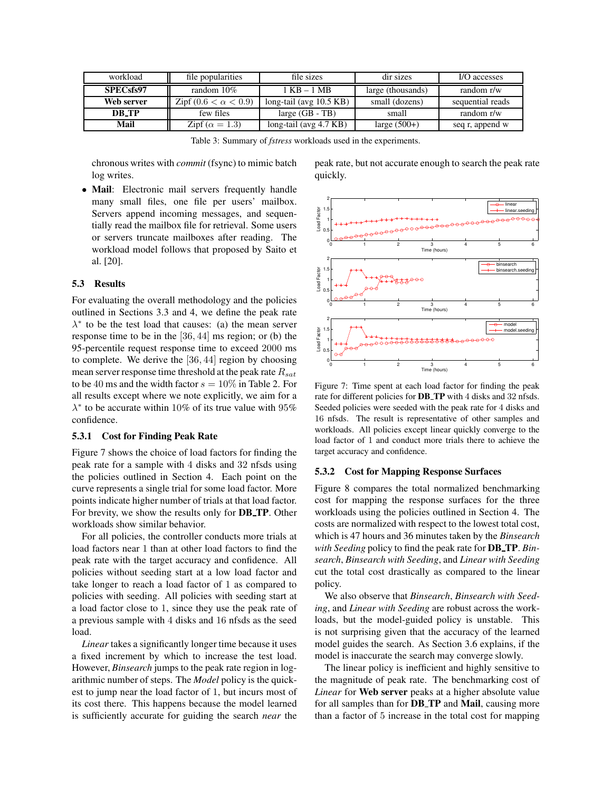| workload         | file popularities            | file sizes                | dir sizes         | I/O accesses     |
|------------------|------------------------------|---------------------------|-------------------|------------------|
| <b>SPECsfs97</b> | random 10%                   | 1 KB – 1 MB               | large (thousands) | random r/w       |
| Web server       | Zipf $(0.6 < \alpha < 0.9)$  | long-tail (avg $10.5$ KB) | small (dozens)    | sequential reads |
| DR TP            | few files                    | large $(GB - TB)$         | small             | random r/w       |
| Mail             | $\text{Zipf} (\alpha = 1.3)$ | long-tail (avg 4.7 KB)    | large $(500+)$    | seq r, append w  |

Table 3: Summary of *fstress* workloads used in the experiments.

chronous writes with *commit* (fsync) to mimic batch log writes.

• **Mail**: Electronic mail servers frequently handle many small files, one file per users' mailbox. Servers append incoming messages, and sequentially read the mailbox file for retrieval. Some users or servers truncate mailboxes after reading. The workload model follows that proposed by Saito et al. [20].

#### **5.3 Results**

For evaluating the overall methodology and the policies outlined in Sections 3.3 and 4, we define the peak rate  $\lambda^*$  to be the test load that causes: (a) the mean server response time to be in the [36, 44] ms region; or (b) the 95-percentile request response time to exceed 2000 ms to complete. We derive the [36, 44] region by choosing mean server response time threshold at the peak rate  $R_{sat}$ to be 40 ms and the width factor  $s = 10\%$  in Table 2. For all results except where we note explicitly, we aim for a  $\lambda^*$  to be accurate within 10% of its true value with 95% confidence.

#### **5.3.1 Cost for Finding Peak Rate**

Figure 7 shows the choice of load factors for finding the peak rate for a sample with 4 disks and 32 nfsds using the policies outlined in Section 4. Each point on the curve represents a single trial for some load factor. More points indicate higher number of trials at that load factor. For brevity, we show the results only for **DB TP**. Other workloads show similar behavior.

For all policies, the controller conducts more trials at load factors near 1 than at other load factors to find the peak rate with the target accuracy and confidence. All policies without seeding start at a low load factor and take longer to reach a load factor of 1 as compared to policies with seeding. All policies with seeding start at a load factor close to 1, since they use the peak rate of a previous sample with 4 disks and 16 nfsds as the seed load.

*Linear* takes a significantly longer time because it uses a fixed increment by which to increase the test load. However, *Binsearch* jumps to the peak rate region in logarithmic number of steps. The *Model* policy is the quickest to jump near the load factor of 1, but incurs most of its cost there. This happens because the model learned is sufficiently accurate for guiding the search *near* the

peak rate, but not accurate enough to search the peak rate quickly.



Figure 7: Time spent at each load factor for finding the peak rate for different policies for **DB TP** with 4 disks and 32 nfsds. Seeded policies were seeded with the peak rate for 4 disks and 16 nfsds. The result is representative of other samples and workloads. All policies except linear quickly converge to the load factor of 1 and conduct more trials there to achieve the target accuracy and confidence.

#### **5.3.2 Cost for Mapping Response Surfaces**

Figure 8 compares the total normalized benchmarking cost for mapping the response surfaces for the three workloads using the policies outlined in Section 4. The costs are normalized with respect to the lowest total cost, which is 47 hours and 36 minutes taken by the *Binsearch with Seeding* policy to find the peak rate for **DB TP**. *Binsearch*, *Binsearch with Seeding*, and *Linear with Seeding* cut the total cost drastically as compared to the linear policy.

We also observe that *Binsearch*, *Binsearch with Seeding*, and *Linear with Seeding* are robust across the workloads, but the model-guided policy is unstable. This is not surprising given that the accuracy of the learned model guides the search. As Section 3.6 explains, if the model is inaccurate the search may converge slowly.

The linear policy is inefficient and highly sensitive to the magnitude of peak rate. The benchmarking cost of *Linear* for **Web server** peaks at a higher absolute value for all samples than for **DB TP** and **Mail**, causing more than a factor of 5 increase in the total cost for mapping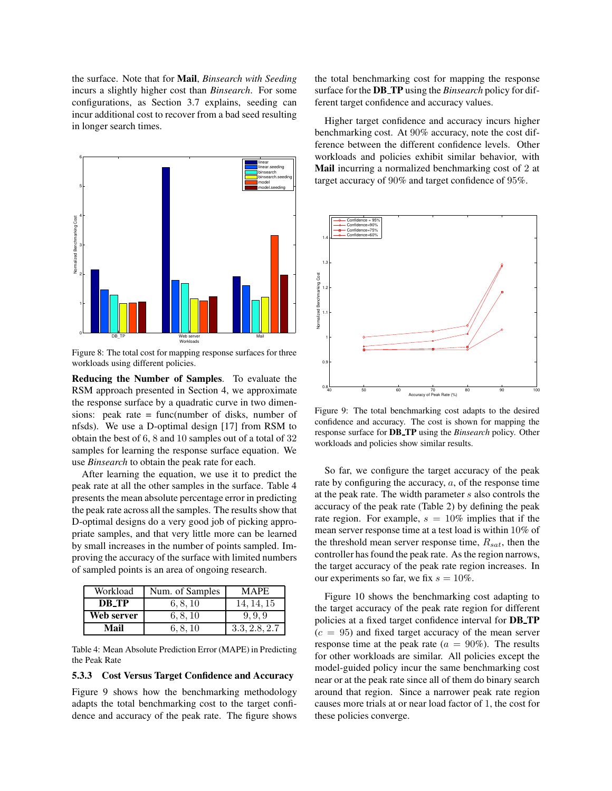the surface. Note that for **Mail**, *Binsearch with Seeding* incurs a slightly higher cost than *Binsearch*. For some configurations, as Section 3.7 explains, seeding can incur additional cost to recover from a bad seed resulting in longer search times.



Figure 8: The total cost for mapping response surfaces for three workloads using different policies.

**Reducing the Number of Samples**. To evaluate the RSM approach presented in Section 4, we approximate the response surface by a quadratic curve in two dimensions: peak rate = func(number of disks, number of nfsds). We use a D-optimal design [17] from RSM to obtain the best of 6, 8 and 10 samples out of a total of 32 samples for learning the response surface equation. We use *Binsearch* to obtain the peak rate for each.

After learning the equation, we use it to predict the peak rate at all the other samples in the surface. Table 4 presents the mean absolute percentage error in predicting the peak rate across all the samples. The results show that D-optimal designs do a very good job of picking appropriate samples, and that very little more can be learned by small increases in the number of points sampled. Improving the accuracy of the surface with limited numbers of sampled points is an area of ongoing research.

| Workload   | Num. of Samples | <b>MAPE</b>   |
|------------|-----------------|---------------|
| DR TP      | 6, 8, 10        | 14.14.15      |
| Web server | 6, 8, 10        | 9.9.9         |
| Mail       | 6, 8, 10        | 3.3, 2.8, 2.7 |

Table 4: Mean Absolute Prediction Error (MAPE) in Predicting the Peak Rate

#### **5.3.3 Cost Versus Target Confidence and Accuracy**

Figure 9 shows how the benchmarking methodology adapts the total benchmarking cost to the target confidence and accuracy of the peak rate. The figure shows the total benchmarking cost for mapping the response surface for the **DB TP** using the *Binsearch* policy for different target confidence and accuracy values.

Higher target confidence and accuracy incurs higher benchmarking cost. At 90% accuracy, note the cost difference between the different confidence levels. Other workloads and policies exhibit similar behavior, with **Mail** incurring a normalized benchmarking cost of 2 at target accuracy of 90% and target confidence of 95%.



Figure 9: The total benchmarking cost adapts to the desired confidence and accuracy. The cost is shown for mapping the response surface for **DB TP** using the *Binsearch* policy. Other workloads and policies show similar results.

So far, we configure the target accuracy of the peak rate by configuring the accuracy, a, of the response time at the peak rate. The width parameter s also controls the accuracy of the peak rate (Table 2) by defining the peak rate region. For example,  $s = 10\%$  implies that if the mean server response time at a test load is within 10% of the threshold mean server response time,  $R_{sat}$ , then the controller has found the peak rate. As the region narrows, the target accuracy of the peak rate region increases. In our experiments so far, we fix  $s = 10\%$ .

Figure 10 shows the benchmarking cost adapting to the target accuracy of the peak rate region for different policies at a fixed target confidence interval for **DB TP**  $(c = 95)$  and fixed target accuracy of the mean server response time at the peak rate ( $a = 90\%$ ). The results for other workloads are similar. All policies except the model-guided policy incur the same benchmarking cost near or at the peak rate since all of them do binary search around that region. Since a narrower peak rate region causes more trials at or near load factor of 1, the cost for these policies converge.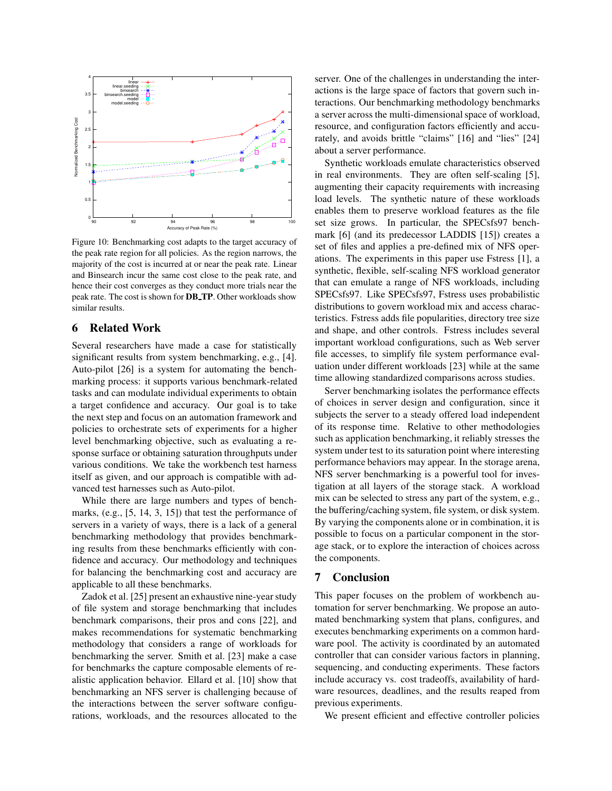

Figure 10: Benchmarking cost adapts to the target accuracy of the peak rate region for all policies. As the region narrows, the majority of the cost is incurred at or near the peak rate. Linear and Binsearch incur the same cost close to the peak rate, and hence their cost converges as they conduct more trials near the peak rate. The cost is shown for **DB TP**. Other workloads show similar results.

# **6 Related Work**

Several researchers have made a case for statistically significant results from system benchmarking, e.g., [4]. Auto-pilot [26] is a system for automating the benchmarking process: it supports various benchmark-related tasks and can modulate individual experiments to obtain a target confidence and accuracy. Our goal is to take the next step and focus on an automation framework and policies to orchestrate sets of experiments for a higher level benchmarking objective, such as evaluating a response surface or obtaining saturation throughputs under various conditions. We take the workbench test harness itself as given, and our approach is compatible with advanced test harnesses such as Auto-pilot.

While there are large numbers and types of benchmarks, (e.g., [5, 14, 3, 15]) that test the performance of servers in a variety of ways, there is a lack of a general benchmarking methodology that provides benchmarking results from these benchmarks efficiently with confidence and accuracy. Our methodology and techniques for balancing the benchmarking cost and accuracy are applicable to all these benchmarks.

Zadok et al. [25] present an exhaustive nine-year study of file system and storage benchmarking that includes benchmark comparisons, their pros and cons [22], and makes recommendations for systematic benchmarking methodology that considers a range of workloads for benchmarking the server. Smith et al. [23] make a case for benchmarks the capture composable elements of realistic application behavior. Ellard et al. [10] show that benchmarking an NFS server is challenging because of the interactions between the server software configurations, workloads, and the resources allocated to the server. One of the challenges in understanding the interactions is the large space of factors that govern such interactions. Our benchmarking methodology benchmarks a server across the multi-dimensional space of workload, resource, and configuration factors efficiently and accurately, and avoids brittle "claims" [16] and "lies" [24] about a server performance.

Synthetic workloads emulate characteristics observed in real environments. They are often self-scaling [5], augmenting their capacity requirements with increasing load levels. The synthetic nature of these workloads enables them to preserve workload features as the file set size grows. In particular, the SPECsfs97 benchmark [6] (and its predecessor LADDIS [15]) creates a set of files and applies a pre-defined mix of NFS operations. The experiments in this paper use Fstress [1], a synthetic, flexible, self-scaling NFS workload generator that can emulate a range of NFS workloads, including SPECsfs97. Like SPECsfs97, Fstress uses probabilistic distributions to govern workload mix and access characteristics. Fstress adds file popularities, directory tree size and shape, and other controls. Fstress includes several important workload configurations, such as Web server file accesses, to simplify file system performance evaluation under different workloads [23] while at the same time allowing standardized comparisons across studies.

Server benchmarking isolates the performance effects of choices in server design and configuration, since it subjects the server to a steady offered load independent of its response time. Relative to other methodologies such as application benchmarking, it reliably stresses the system under test to its saturation point where interesting performance behaviors may appear. In the storage arena, NFS server benchmarking is a powerful tool for investigation at all layers of the storage stack. A workload mix can be selected to stress any part of the system, e.g., the buffering/caching system, file system, or disk system. By varying the components alone or in combination, it is possible to focus on a particular component in the storage stack, or to explore the interaction of choices across the components.

# **7 Conclusion**

This paper focuses on the problem of workbench automation for server benchmarking. We propose an automated benchmarking system that plans, configures, and executes benchmarking experiments on a common hardware pool. The activity is coordinated by an automated controller that can consider various factors in planning, sequencing, and conducting experiments. These factors include accuracy vs. cost tradeoffs, availability of hardware resources, deadlines, and the results reaped from previous experiments.

We present efficient and effective controller policies